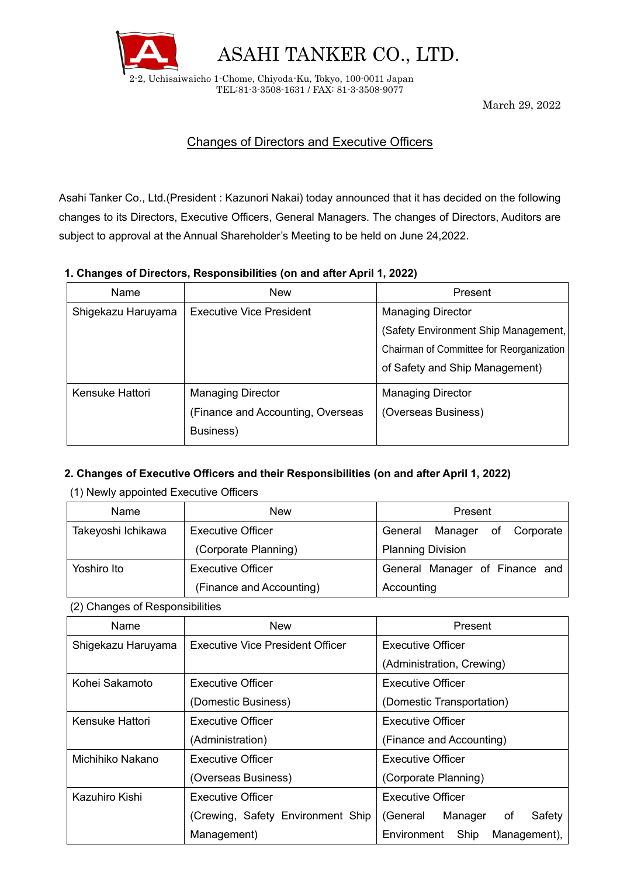

ASAHI TANKER CO., LTD.

2-2, Uchisaiwaicho 1-Chome, Chiyoda-Ku, Tokyo, 100-0011 Japan TEL:81-3-3508-1631 / FAX: 81-3-3508-9077

March 29, 2022

# Changes of Directors and Executive Officers

Asahi Tanker Co., Ltd.(President : Kazunori Nakai) today announced that it has decided on the following changes to its Directors, Executive Officers, General Managers. The changes of Directors, Auditors are subject to approval at the Annual Shareholder's Meeting to be held on June 24,2022.

### **1. Changes of Directors, Responsibilities (on and after April 1, 2022)**

| Name               | <b>New</b>                        | Present                                  |
|--------------------|-----------------------------------|------------------------------------------|
| Shigekazu Haruyama | <b>Executive Vice President</b>   | <b>Managing Director</b>                 |
|                    |                                   | (Safety Environment Ship Management,     |
|                    |                                   | Chairman of Committee for Reorganization |
|                    |                                   | of Safety and Ship Management)           |
| Kensuke Hattori    | <b>Managing Director</b>          | <b>Managing Director</b>                 |
|                    | (Finance and Accounting, Overseas | (Overseas Business)                      |
|                    | Business)                         |                                          |

## **2. Changes of Executive Officers and their Responsibilities (on and after April 1, 2022)**

(1) Newly appointed Executive Officers

| Name               | New                      | Present                         |
|--------------------|--------------------------|---------------------------------|
| Takeyoshi Ichikawa | <b>Executive Officer</b> | Manager of Corporate<br>General |
|                    | (Corporate Planning)     | <b>Planning Division</b>        |
| Yoshiro Ito        | <b>Executive Officer</b> | General Manager of Finance and  |
|                    | (Finance and Accounting) | Accounting                      |

#### (2) Changes of Responsibilities

| Name               | <b>New</b>                        | Present                             |  |
|--------------------|-----------------------------------|-------------------------------------|--|
| Shigekazu Haruyama | Executive Vice President Officer  | Executive Officer                   |  |
|                    |                                   | (Administration, Crewing)           |  |
| Kohei Sakamoto     | Executive Officer                 | Executive Officer                   |  |
|                    | (Domestic Business)               | (Domestic Transportation)           |  |
| Kensuke Hattori    | Executive Officer                 | Executive Officer                   |  |
|                    | (Administration)                  | (Finance and Accounting)            |  |
| Michihiko Nakano   | Executive Officer                 | Executive Officer                   |  |
|                    | (Overseas Business)               | (Corporate Planning)                |  |
| Kazuhiro Kishi     | <b>Executive Officer</b>          | Executive Officer                   |  |
|                    | (Crewing, Safety Environment Ship | Safety<br>Manager<br>(General<br>οf |  |
|                    | Management)                       | Environment<br>Ship<br>Management), |  |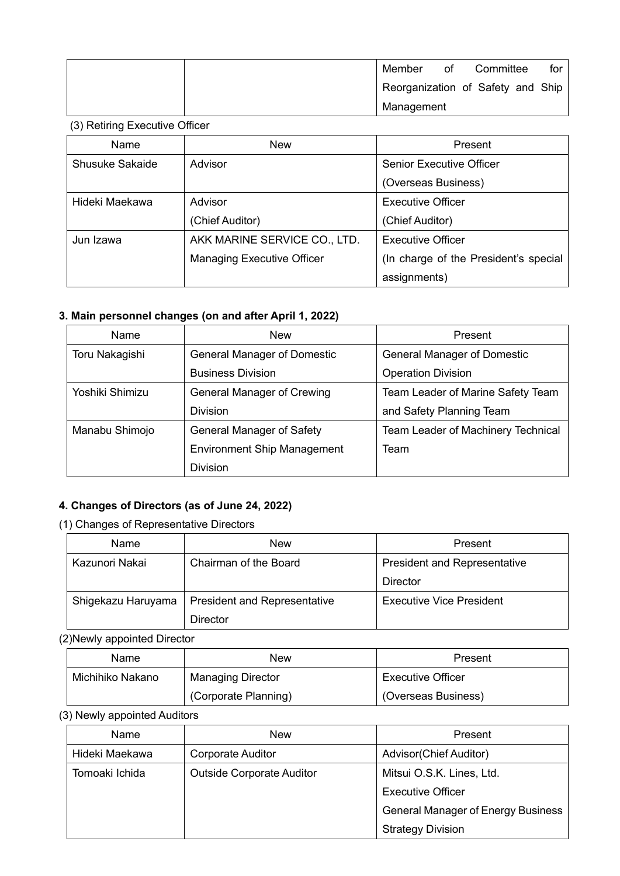| Member     | οf | Committee                         | for |
|------------|----|-----------------------------------|-----|
|            |    | Reorganization of Safety and Ship |     |
| Management |    |                                   |     |

#### (3) Retiring Executive Officer

| Name                   | <b>New</b>                        | Present                               |
|------------------------|-----------------------------------|---------------------------------------|
| <b>Shusuke Sakaide</b> | Advisor                           | <b>Senior Executive Officer</b>       |
|                        |                                   | (Overseas Business)                   |
| Hideki Maekawa         | Advisor                           | <b>Executive Officer</b>              |
|                        | (Chief Auditor)                   | (Chief Auditor)                       |
| Jun Izawa              | AKK MARINE SERVICE CO., LTD.      | <b>Executive Officer</b>              |
|                        | <b>Managing Executive Officer</b> | (In charge of the President's special |
|                        |                                   | assignments)                          |

# **3. Main personnel changes (on and after April 1, 2022)**

| <b>Name</b>     | <b>New</b>                         | Present                            |
|-----------------|------------------------------------|------------------------------------|
| Toru Nakagishi  | <b>General Manager of Domestic</b> | <b>General Manager of Domestic</b> |
|                 | <b>Business Division</b>           | <b>Operation Division</b>          |
| Yoshiki Shimizu | <b>General Manager of Crewing</b>  | Team Leader of Marine Safety Team  |
|                 | <b>Division</b>                    | and Safety Planning Team           |
| Manabu Shimojo  | General Manager of Safety          | Team Leader of Machinery Technical |
|                 | <b>Environment Ship Management</b> | Team                               |
|                 | <b>Division</b>                    |                                    |

## **4. Changes of Directors (as of June 24, 2022)**

## (1) Changes of Representative Directors

| Name               | New                                 | Present                             |
|--------------------|-------------------------------------|-------------------------------------|
| Kazunori Nakai     | Chairman of the Board               | <b>President and Representative</b> |
|                    |                                     | Director                            |
| Shigekazu Haruyama | <b>President and Representative</b> | Executive Vice President            |
|                    | Director                            |                                     |

(2)Newly appointed Director

| Name             | New                      | Present                  |
|------------------|--------------------------|--------------------------|
| Michihiko Nakano | <b>Managing Director</b> | <b>Executive Officer</b> |
|                  | (Corporate Planning)     | (Overseas Business)      |

(3) Newly appointed Auditors

| <b>Name</b>    | <b>New</b>                       | Present                                   |
|----------------|----------------------------------|-------------------------------------------|
| Hideki Maekawa | <b>Corporate Auditor</b>         | Advisor(Chief Auditor)                    |
| Tomoaki Ichida | <b>Outside Corporate Auditor</b> | Mitsui O.S.K. Lines, Ltd.                 |
|                |                                  | <b>Executive Officer</b>                  |
|                |                                  | <b>General Manager of Energy Business</b> |
|                |                                  | <b>Strategy Division</b>                  |